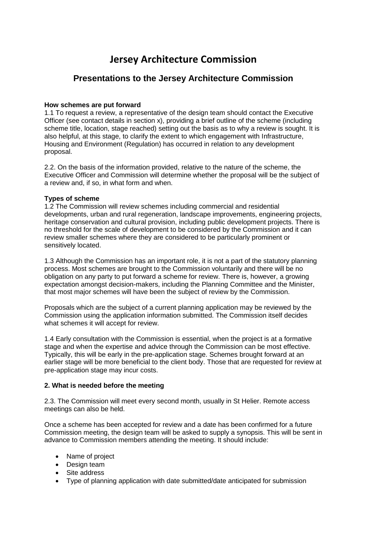# **Jersey Architecture Commission**

# **Presentations to the Jersey Architecture Commission**

### **How schemes are put forward**

1.1 To request a review, a representative of the design team should contact the Executive Officer (see contact details in section x), providing a brief outline of the scheme (including scheme title, location, stage reached) setting out the basis as to why a review is sought. It is also helpful, at this stage, to clarify the extent to which engagement with Infrastructure, Housing and Environment (Regulation) has occurred in relation to any development proposal.

2.2. On the basis of the information provided, relative to the nature of the scheme, the Executive Officer and Commission will determine whether the proposal will be the subject of a review and, if so, in what form and when.

#### **Types of scheme**

1.2 The Commission will review schemes including commercial and residential developments, urban and rural regeneration, landscape improvements, engineering projects, heritage conservation and cultural provision, including public development projects. There is no threshold for the scale of development to be considered by the Commission and it can review smaller schemes where they are considered to be particularly prominent or sensitively located.

1.3 Although the Commission has an important role, it is not a part of the statutory planning process. Most schemes are brought to the Commission voluntarily and there will be no obligation on any party to put forward a scheme for review. There is, however, a growing expectation amongst decision-makers, including the Planning Committee and the Minister, that most major schemes will have been the subject of review by the Commission.

Proposals which are the subject of a current planning application may be reviewed by the Commission using the application information submitted. The Commission itself decides what schemes it will accept for review.

1.4 Early consultation with the Commission is essential, when the project is at a formative stage and when the expertise and advice through the Commission can be most effective. Typically, this will be early in the pre-application stage. Schemes brought forward at an earlier stage will be more beneficial to the client body. Those that are requested for review at pre-application stage may incur costs.

#### **2. What is needed before the meeting**

2.3. The Commission will meet every second month, usually in St Helier. Remote access meetings can also be held.

Once a scheme has been accepted for review and a date has been confirmed for a future Commission meeting, the design team will be asked to supply a synopsis. This will be sent in advance to Commission members attending the meeting. It should include:

- Name of project
- Design team
- Site address
- Type of planning application with date submitted/date anticipated for submission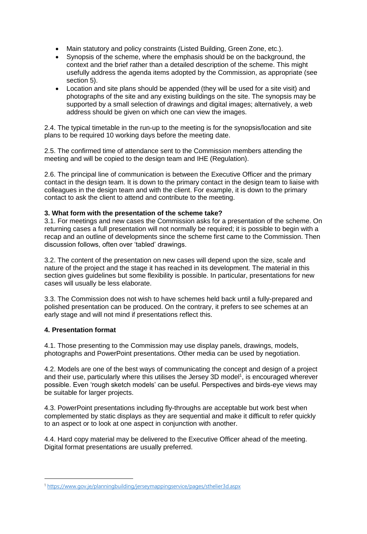- Main statutory and policy constraints (Listed Building, Green Zone, etc.).
- Synopsis of the scheme, where the emphasis should be on the background, the context and the brief rather than a detailed description of the scheme. This might usefully address the agenda items adopted by the Commission, as appropriate (see section 5).
- Location and site plans should be appended (they will be used for a site visit) and photographs of the site and any existing buildings on the site. The synopsis may be supported by a small selection of drawings and digital images; alternatively, a web address should be given on which one can view the images.

2.4. The typical timetable in the run-up to the meeting is for the synopsis/location and site plans to be required 10 working days before the meeting date.

2.5. The confirmed time of attendance sent to the Commission members attending the meeting and will be copied to the design team and IHE (Regulation).

2.6. The principal line of communication is between the Executive Officer and the primary contact in the design team. It is down to the primary contact in the design team to liaise with colleagues in the design team and with the client. For example, it is down to the primary contact to ask the client to attend and contribute to the meeting.

# **3. What form with the presentation of the scheme take?**

3.1. For meetings and new cases the Commission asks for a presentation of the scheme. On returning cases a full presentation will not normally be required; it is possible to begin with a recap and an outline of developments since the scheme first came to the Commission. Then discussion follows, often over 'tabled' drawings.

3.2. The content of the presentation on new cases will depend upon the size, scale and nature of the project and the stage it has reached in its development. The material in this section gives guidelines but some flexibility is possible. In particular, presentations for new cases will usually be less elaborate.

3.3. The Commission does not wish to have schemes held back until a fully-prepared and polished presentation can be produced. On the contrary, it prefers to see schemes at an early stage and will not mind if presentations reflect this.

# **4. Presentation format**

1

4.1. Those presenting to the Commission may use display panels, drawings, models, photographs and PowerPoint presentations. Other media can be used by negotiation.

4.2. Models are one of the best ways of communicating the concept and design of a project and their use, particularly where this utilises the Jersey 3D model<sup>1</sup>, is encouraged wherever possible. Even 'rough sketch models' can be useful. Perspectives and birds-eye views may be suitable for larger projects.

4.3. PowerPoint presentations including fly-throughs are acceptable but work best when complemented by static displays as they are sequential and make it difficult to refer quickly to an aspect or to look at one aspect in conjunction with another.

4.4. Hard copy material may be delivered to the Executive Officer ahead of the meeting. Digital format presentations are usually preferred.

<sup>1</sup> <https://www.gov.je/planningbuilding/jerseymappingservice/pages/sthelier3d.aspx>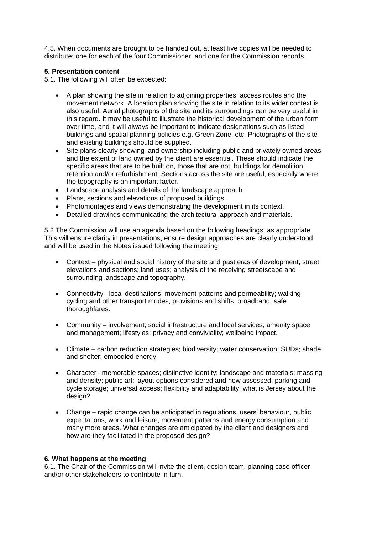4.5. When documents are brought to be handed out, at least five copies will be needed to distribute: one for each of the four Commissioner, and one for the Commission records.

### **5. Presentation content**

5.1. The following will often be expected:

- A plan showing the site in relation to adjoining properties, access routes and the movement network. A location plan showing the site in relation to its wider context is also useful. Aerial photographs of the site and its surroundings can be very useful in this regard. It may be useful to illustrate the historical development of the urban form over time, and it will always be important to indicate designations such as listed buildings and spatial planning policies e.g. Green Zone, etc. Photographs of the site and existing buildings should be supplied.
- Site plans clearly showing land ownership including public and privately owned areas and the extent of land owned by the client are essential. These should indicate the specific areas that are to be built on, those that are not, buildings for demolition, retention and/or refurbishment. Sections across the site are useful, especially where the topography is an important factor.
- Landscape analysis and details of the landscape approach.
- Plans, sections and elevations of proposed buildings.
- Photomontages and views demonstrating the development in its context.
- Detailed drawings communicating the architectural approach and materials.

5.2 The Commission will use an agenda based on the following headings, as appropriate. This will ensure clarity in presentations, ensure design approaches are clearly understood and will be used in the Notes issued following the meeting.

- Context physical and social history of the site and past eras of development; street elevations and sections; land uses; analysis of the receiving streetscape and surrounding landscape and topography.
- Connectivity –local destinations; movement patterns and permeability; walking cycling and other transport modes, provisions and shifts; broadband; safe thoroughfares.
- Community involvement; social infrastructure and local services; amenity space and management; lifestyles; privacy and conviviality; wellbeing impact.
- Climate carbon reduction strategies; biodiversity; water conservation; SUDs; shade and shelter; embodied energy.
- Character –memorable spaces; distinctive identity; landscape and materials; massing and density; public art; layout options considered and how assessed; parking and cycle storage; universal access; flexibility and adaptability; what is Jersey about the design?
- Change rapid change can be anticipated in regulations, users' behaviour, public expectations, work and leisure, movement patterns and energy consumption and many more areas. What changes are anticipated by the client and designers and how are they facilitated in the proposed design?

#### **6. What happens at the meeting**

6.1. The Chair of the Commission will invite the client, design team, planning case officer and/or other stakeholders to contribute in turn.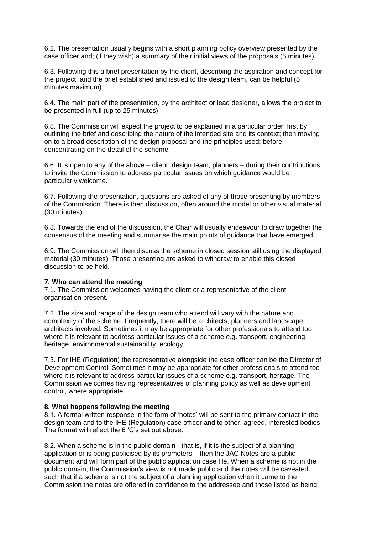6.2. The presentation usually begins with a short planning policy overview presented by the case officer and; (if they wish) a summary of their initial views of the proposals (5 minutes).

6.3. Following this a brief presentation by the client, describing the aspiration and concept for the project, and the brief established and issued to the design team, can be helpful (5 minutes maximum).

6.4. The main part of the presentation, by the architect or lead designer, allows the project to be presented in full (up to 25 minutes).

6.5. The Commission will expect the project to be explained in a particular order: first by outlining the brief and describing the nature of the intended site and its context; then moving on to a broad description of the design proposal and the principles used; before concentrating on the detail of the scheme.

6.6. It is open to any of the above – client, design team, planners – during their contributions to invite the Commission to address particular issues on which guidance would be particularly welcome.

6.7. Following the presentation, questions are asked of any of those presenting by members of the Commission. There is then discussion, often around the model or other visual material (30 minutes).

6.8. Towards the end of the discussion, the Chair will usually endeavour to draw together the consensus of the meeting and summarise the main points of guidance that have emerged.

6.9. The Commission will then discuss the scheme in closed session still using the displayed material (30 minutes). Those presenting are asked to withdraw to enable this closed discussion to be held.

#### **7. Who can attend the meeting**

7.1. The Commission welcomes having the client or a representative of the client organisation present.

7.2. The size and range of the design team who attend will vary with the nature and complexity of the scheme. Frequently, there will be architects, planners and landscape architects involved. Sometimes it may be appropriate for other professionals to attend too where it is relevant to address particular issues of a scheme e.g. transport, engineering, heritage, environmental sustainability, ecology.

7.3. For IHE (Regulation) the representative alongside the case officer can be the Director of Development Control. Sometimes it may be appropriate for other professionals to attend too where it is relevant to address particular issues of a scheme e.g. transport, heritage. The Commission welcomes having representatives of planning policy as well as development control, where appropriate.

#### **8. What happens following the meeting**

8.1. A formal written response in the form of 'notes' will be sent to the primary contact in the design team and to the IHE (Regulation) case officer and to other, agreed, interested bodies. The format will reflect the 6 'C's set out above.

8.2. When a scheme is in the public domain - that is, if it is the subject of a planning application or is being publicised by its promoters – then the JAC Notes are a public document and will form part of the public application case file. When a scheme is not in the public domain, the Commission's view is not made public and the notes will be caveated such that if a scheme is not the subject of a planning application when it came to the Commission the notes are offered in confidence to the addressee and those listed as being